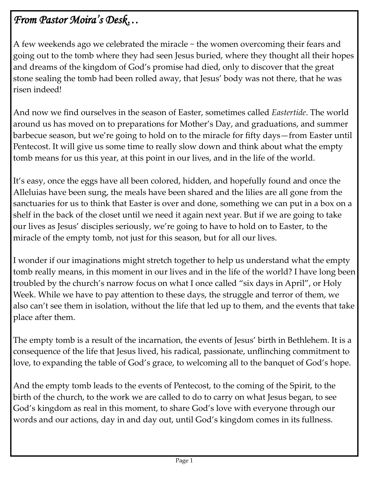## *From Pastor Moira's Desk…*

A few weekends ago we celebrated the miracle ~ the women overcoming their fears and going out to the tomb where they had seen Jesus buried, where they thought all their hopes and dreams of the kingdom of God's promise had died, only to discover that the great stone sealing the tomb had been rolled away, that Jesus' body was not there, that he was risen indeed!

And now we find ourselves in the season of Easter, sometimes called *Eastertide*. The world around us has moved on to preparations for Mother's Day, and graduations, and summer barbecue season, but we're going to hold on to the miracle for fifty days—from Easter until Pentecost. It will give us some time to really slow down and think about what the empty tomb means for us this year, at this point in our lives, and in the life of the world.

It's easy, once the eggs have all been colored, hidden, and hopefully found and once the Alleluias have been sung, the meals have been shared and the lilies are all gone from the sanctuaries for us to think that Easter is over and done, something we can put in a box on a shelf in the back of the closet until we need it again next year. But if we are going to take our lives as Jesus' disciples seriously, we're going to have to hold on to Easter, to the miracle of the empty tomb, not just for this season, but for all our lives.

I wonder if our imaginations might stretch together to help us understand what the empty tomb really means, in this moment in our lives and in the life of the world? I have long been troubled by the church's narrow focus on what I once called "six days in April", or Holy Week. While we have to pay attention to these days, the struggle and terror of them, we also can't see them in isolation, without the life that led up to them, and the events that take place after them.

The empty tomb is a result of the incarnation, the events of Jesus' birth in Bethlehem. It is a consequence of the life that Jesus lived, his radical, passionate, unflinching commitment to love, to expanding the table of God's grace, to welcoming all to the banquet of God's hope.

And the empty tomb leads to the events of Pentecost, to the coming of the Spirit, to the birth of the church, to the work we are called to do to carry on what Jesus began, to see God's kingdom as real in this moment, to share God's love with everyone through our words and our actions, day in and day out, until God's kingdom comes in its fullness.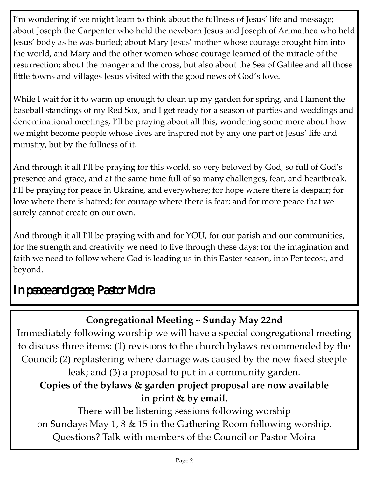I'm wondering if we might learn to think about the fullness of Jesus' life and message; about Joseph the Carpenter who held the newborn Jesus and Joseph of Arimathea who held Jesus' body as he was buried; about Mary Jesus' mother whose courage brought him into the world, and Mary and the other women whose courage learned of the miracle of the resurrection; about the manger and the cross, but also about the Sea of Galilee and all those little towns and villages Jesus visited with the good news of God's love.

While I wait for it to warm up enough to clean up my garden for spring, and I lament the baseball standings of my Red Sox, and I get ready for a season of parties and weddings and denominational meetings, I'll be praying about all this, wondering some more about how we might become people whose lives are inspired not by any one part of Jesus' life and ministry, but by the fullness of it.

And through it all I'll be praying for this world, so very beloved by God, so full of God's presence and grace, and at the same time full of so many challenges, fear, and heartbreak. I'll be praying for peace in Ukraine, and everywhere; for hope where there is despair; for love where there is hatred; for courage where there is fear; and for more peace that we surely cannot create on our own.

And through it all I'll be praying with and for YOU, for our parish and our communities, for the strength and creativity we need to live through these days; for the imagination and faith we need to follow where God is leading us in this Easter season, into Pentecost, and beyond.

# *In peace and grace, Pastor Moira*

## **Congregational Meeting ~ Sunday May 22nd**

Immediately following worship we will have a special congregational meeting to discuss three items: (1) revisions to the church bylaws recommended by the Council; (2) replastering where damage was caused by the now fixed steeple leak; and (3) a proposal to put in a community garden.

## **Copies of the bylaws & garden project proposal are now available in print & by email.**

There will be listening sessions following worship on Sundays May 1, 8 & 15 in the Gathering Room following worship. Questions? Talk with members of the Council or Pastor Moira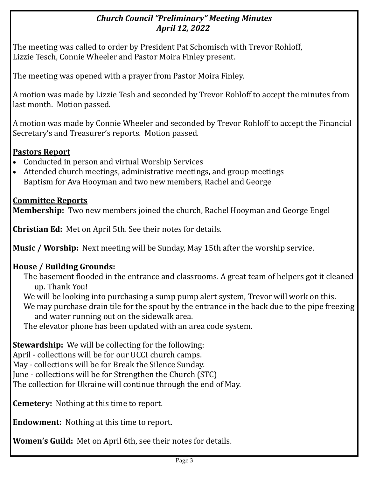#### *Church Council "Preliminary" Meeting Minutes April 12, 2022*

The meeting was called to order by President Pat Schomisch with Trevor Rohloff, Lizzie Tesch, Connie Wheeler and Pastor Moira Finley present.

The meeting was opened with a prayer from Pastor Moira Finley.

A motion was made by Lizzie Tesh and seconded by Trevor Rohloff to accept the minutes from last month. Motion passed.

A motion was made by Connie Wheeler and seconded by Trevor Rohloff to accept the Financial Secretary's and Treasurer's reports. Motion passed.

#### **Pastors Report**

- Conducted in person and virtual Worship Services
- Attended church meetings, administrative meetings, and group meetings Baptism for Ava Hooyman and two new members, Rachel and George

#### **Committee Reports**

**Membership:** Two new members joined the church, Rachel Hooyman and George Engel

**Christian Ed:** Met on April 5th. See their notes for details.

**Music / Worship:** Next meeting will be Sunday, May 15th after the worship service.

#### **House / Building Grounds:**

The basement flooded in the entrance and classrooms. A great team of helpers got it cleaned up. Thank You!

We will be looking into purchasing a sump pump alert system, Trevor will work on this. We may purchase drain tile for the spout by the entrance in the back due to the pipe freezing

and water running out on the sidewalk area.

The elevator phone has been updated with an area code system.

**Stewardship:** We will be collecting for the following:

April - collections will be for our UCCI church camps.

May - collections will be for Break the Silence Sunday.

June - collections will be for Strengthen the Church (STC)

The collection for Ukraine will continue through the end of May.

**Cemetery:** Nothing at this time to report.

**Endowment:** Nothing at this time to report.

**Women's Guild:** Met on April 6th, see their notes for details.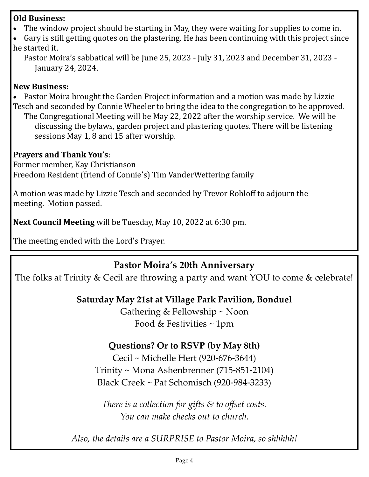#### **Old Business:**

- The window project should be starting in May, they were waiting for supplies to come in.
- Gary is still getting quotes on the plastering. He has been continuing with this project since he started it.
	- Pastor Moira's sabbatical will be June 25, 2023 July 31, 2023 and December 31, 2023 January 24, 2024.

#### **New Business:**

• Pastor Moira brought the Garden Project information and a motion was made by Lizzie Tesch and seconded by Connie Wheeler to bring the idea to the congregation to be approved.

The Congregational Meeting will be May 22, 2022 after the worship service. We will be discussing the bylaws, garden project and plastering quotes. There will be listening sessions May 1, 8 and 15 after worship.

#### **Prayers and Thank You's**:

Former member, Kay Christianson Freedom Resident (friend of Connie's) Tim VanderWettering family

A motion was made by Lizzie Tesch and seconded by Trevor Rohloff to adjourn the meeting. Motion passed.

**Next Council Meeting** will be Tuesday, May 10, 2022 at 6:30 pm.

The meeting ended with the Lord's Prayer.

#### **Pastor Moira's 20th Anniversary**

The folks at Trinity & Cecil are throwing a party and want YOU to come & celebrate!

#### **Saturday May 21st at Village Park Pavilion, Bonduel**

Gathering & Fellowship ~ Noon Food & Festivities ~ 1pm

#### **Questions? Or to RSVP (by May 8th)**

Cecil ~ Michelle Hert (920-676-3644) Trinity ~ Mona Ashenbrenner (715-851-2104) Black Creek ~ Pat Schomisch (920-984-3233)

*There is a collection for gifts & to offset costs. You can make checks out to church.*

*Also, the details are a SURPRISE to Pastor Moira, so shhhhh!*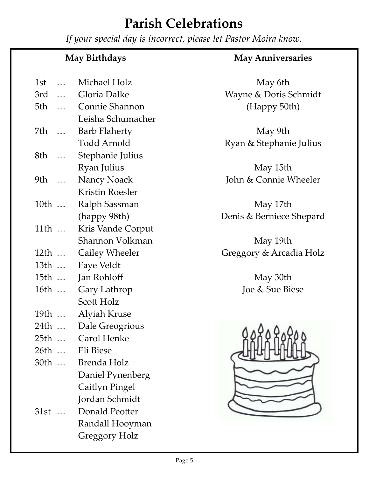# **Parish Celebrations**

*If your special day is incorrect, please let Pastor Moira know.*

## **May Birthdays** 1st … Michael Holz 3rd … Gloria Dalke 5th … Connie Shannon Leisha Schumacher 7th … Barb Flaherty Todd Arnold 8th … Stephanie Julius Ryan Julius 9th … Nancy Noack Kristin Roesler 10th … Ralph Sassman (happy 98th) 11th ... Kris Vande Corput Shannon Volkman 12th … Cailey Wheeler

#### **May Anniversaries**

May 6th Wayne & Doris Schmidt (Happy 50th)

May 9th Ryan & Stephanie Julius

May 15th John & Connie Wheeler

May 17th Denis & Berniece Shepard

May 19th Greggory & Arcadia Holz

> May 30th Joe & Sue Biese



| Eli Biese |
|-----------|
|           |

13th … Faye Veldt

15th … Jan Rohloff

16th … Gary Lathrop

19th … Alyiah Kruse

25th … Carol Henke

24th … Dale Greogrious

Scott Holz

- 30th … Brenda Holz Daniel Pynenberg Caitlyn Pingel Jordan Schmidt
- 31st … Donald Peotter Randall Hooyman Greggory Holz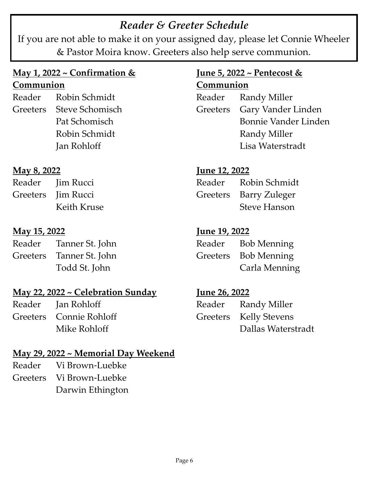## *Reader & Greeter Schedule*

If you are not able to make it on your assigned day, please let Connie Wheeler & Pastor Moira know. Greeters also help serve communion.

#### **May 1, 2022 ~ Confirmation & Communion**

Reader Robin Schmidt Greeters Steve Schomisch Pat Schomisch Robin Schmidt Jan Rohloff

#### **May 8, 2022**

| Reader | <b>Jim Rucci</b>   |
|--------|--------------------|
|        | Greeters Jim Rucci |
|        | Keith Kruse        |

#### **May 15, 2022**

| Reader | Tanner St. John          |
|--------|--------------------------|
|        | Greeters Tanner St. John |
|        | Todd St. John            |

#### **May 22, 2022 ~ Celebration Sunday**

Reader Jan Rohloff Greeters Connie Rohloff Mike Rohloff

### **May 29, 2022 ~ Memorial Day Weekend**

Reader Vi Brown-Luebke Greeters Vi Brown-Luebke Darwin Ethington

#### **June 5, 2022 ~ Pentecost & Communion**

Reader Randy Miller Greeters Gary Vander Linden Bonnie Vander Linden Randy Miller Lisa Waterstradt

#### **June 12, 2022**

| Reader | Robin Schmidt          |
|--------|------------------------|
|        | Greeters Barry Zuleger |
|        | <b>Steve Hanson</b>    |

#### **June 19, 2022**

| Reader | <b>Bob Menning</b>   |
|--------|----------------------|
|        | Greeters Bob Menning |
|        | Carla Menning        |

#### **June 26, 2022**

| Reader Randy Miller    |
|------------------------|
| Greeters Kelly Stevens |
| Dallas Waterstradt     |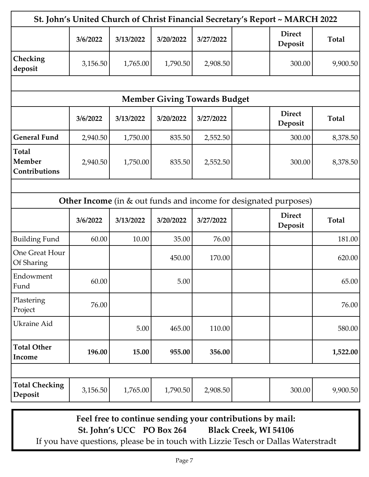| St. John's United Church of Christ Financial Secretary's Report ~ MARCH 2022 |          |           |                                     |           |  |                                                                  |              |
|------------------------------------------------------------------------------|----------|-----------|-------------------------------------|-----------|--|------------------------------------------------------------------|--------------|
|                                                                              | 3/6/2022 | 3/13/2022 | 3/20/2022                           | 3/27/2022 |  | <b>Direct</b><br>Deposit                                         | <b>Total</b> |
| Checking<br>deposit                                                          | 3,156.50 | 1,765.00  | 1,790.50                            | 2,908.50  |  | 300.00                                                           | 9,900.50     |
|                                                                              |          |           |                                     |           |  |                                                                  |              |
|                                                                              |          |           | <b>Member Giving Towards Budget</b> |           |  |                                                                  |              |
|                                                                              | 3/6/2022 | 3/13/2022 | 3/20/2022                           | 3/27/2022 |  | <b>Direct</b><br>Deposit                                         | <b>Total</b> |
| <b>General Fund</b>                                                          | 2,940.50 | 1,750.00  | 835.50                              | 2,552.50  |  | 300.00                                                           | 8,378.50     |
| <b>Total</b><br><b>Member</b><br>Contributions                               | 2,940.50 | 1,750.00  | 835.50                              | 2,552.50  |  | 300.00                                                           | 8,378.50     |
|                                                                              |          |           |                                     |           |  |                                                                  |              |
|                                                                              |          |           |                                     |           |  | Other Income (in & out funds and income for designated purposes) |              |
|                                                                              | 3/6/2022 | 3/13/2022 | 3/20/2022                           | 3/27/2022 |  | <b>Direct</b><br>Deposit                                         | <b>Total</b> |
| <b>Building Fund</b>                                                         | 60.00    | 10.00     | 35.00                               | 76.00     |  |                                                                  | 181.00       |
| One Great Hour<br>Of Sharing                                                 |          |           | 450.00                              | 170.00    |  |                                                                  | 620.00       |
| Endowment<br>Fund                                                            | 60.00    |           | 5.00                                |           |  |                                                                  | 65.00        |
| Plastering<br>Project                                                        | 76.00    |           |                                     |           |  |                                                                  | 76.00        |
| <b>Ukraine Aid</b>                                                           |          | 5.00      | 465.00                              | 110.00    |  |                                                                  | 580.00       |
| <b>Total Other</b><br>Income                                                 | 196.00   | 15.00     | 955.00                              | 356.00    |  |                                                                  | 1,522.00     |
|                                                                              |          |           |                                     |           |  |                                                                  |              |
| <b>Total Checking</b><br>Deposit                                             | 3,156.50 | 1,765.00  | 1,790.50                            | 2,908.50  |  | 300.00                                                           | 9,900.50     |

**Feel free to continue sending your contributions by mail: St. John's UCC PO Box 264 Black Creek, WI 54106**

If you have questions, please be in touch with Lizzie Tesch or Dallas Waterstradt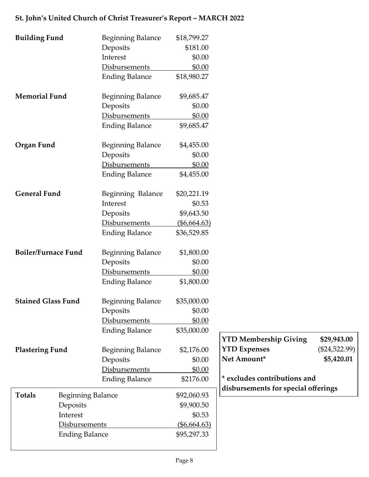#### **St. John's United Church of Christ Treasurer's Report ~ MARCH 2022**

| <b>Building Fund</b>       |                          | <b>Beginning Balance</b> | \$18,799.27    |                                     |                 |
|----------------------------|--------------------------|--------------------------|----------------|-------------------------------------|-----------------|
|                            |                          | Deposits                 | \$181.00       |                                     |                 |
|                            |                          | Interest                 | \$0.00         |                                     |                 |
|                            |                          | <b>Disbursements</b>     | \$0.00         |                                     |                 |
|                            |                          | <b>Ending Balance</b>    | \$18,980.27    |                                     |                 |
| <b>Memorial Fund</b>       |                          | Beginning Balance        | \$9,685.47     |                                     |                 |
|                            |                          | Deposits                 | \$0.00         |                                     |                 |
|                            |                          | Disbursements            | \$0.00         |                                     |                 |
|                            |                          | <b>Ending Balance</b>    | \$9,685.47     |                                     |                 |
| Organ Fund                 |                          | <b>Beginning Balance</b> | \$4,455.00     |                                     |                 |
|                            |                          | Deposits                 | \$0.00         |                                     |                 |
|                            |                          | Disbursements            | \$0.00         |                                     |                 |
|                            |                          | <b>Ending Balance</b>    | \$4,455.00     |                                     |                 |
| <b>General Fund</b>        |                          | Beginning Balance        | \$20,221.19    |                                     |                 |
|                            |                          | Interest                 | \$0.53         |                                     |                 |
|                            |                          | Deposits                 | \$9,643.50     |                                     |                 |
|                            |                          | Disbursements            | $(\$6,664.63)$ |                                     |                 |
|                            |                          | <b>Ending Balance</b>    | \$36,529.85    |                                     |                 |
| <b>Boiler/Furnace Fund</b> |                          | <b>Beginning Balance</b> | \$1,800.00     |                                     |                 |
|                            |                          | Deposits                 | \$0.00         |                                     |                 |
|                            |                          | <b>Disbursements</b>     | \$0.00         |                                     |                 |
|                            |                          | <b>Ending Balance</b>    | \$1,800.00     |                                     |                 |
| <b>Stained Glass Fund</b>  |                          | <b>Beginning Balance</b> | \$35,000.00    |                                     |                 |
|                            |                          | Deposits                 | \$0.00         |                                     |                 |
|                            |                          | Disbursements            | \$0.00         |                                     |                 |
|                            |                          | <b>Ending Balance</b>    | \$35,000.00    | <b>YTD Membership Giving</b>        | \$29,943.00     |
| <b>Plastering Fund</b>     |                          | <b>Beginning Balance</b> | \$2,176.00     | <b>YTD Expenses</b>                 | $(\$24,522.99)$ |
|                            |                          | Deposits                 | \$0.00         | Net Amount*                         | \$5,420.01      |
|                            |                          | Disbursements            | \$0.00         |                                     |                 |
|                            |                          | <b>Ending Balance</b>    | \$2176.00      | * excludes contributions and        |                 |
|                            |                          |                          |                | disbursements for special offerings |                 |
| <b>Totals</b>              | <b>Beginning Balance</b> |                          | \$92,060.93    |                                     |                 |
|                            | Deposits                 |                          | \$9,900.50     |                                     |                 |
|                            | Interest                 |                          | \$0.53         |                                     |                 |
|                            | Disbursements            |                          | (\$6,664.63)   |                                     |                 |
| <b>Ending Balance</b>      |                          | \$95,297.33              |                |                                     |                 |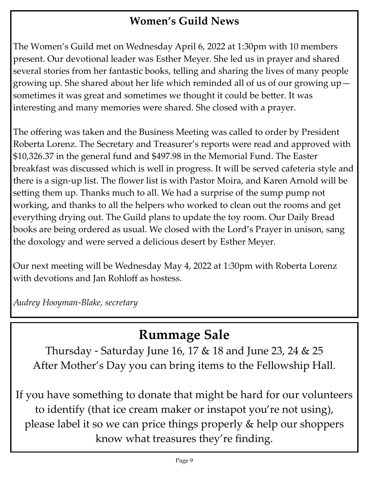## **Women's Guild News**

The Women's Guild met on Wednesday April 6, 2022 at 1:30pm with 10 members present. Our devotional leader was Esther Meyer. She led us in prayer and shared several stories from her fantastic books, telling and sharing the lives of many people growing up. She shared about her life which reminded all of us of our growing up sometimes it was great and sometimes we thought it could be better. It was interesting and many memories were shared. She closed with a prayer.

The offering was taken and the Business Meeting was called to order by President Roberta Lorenz. The Secretary and Treasurer's reports were read and approved with \$10,326.37 in the general fund and \$497.98 in the Memorial Fund. The Easter breakfast was discussed which is well in progress. It will be served cafeteria style and there is a sign-up list. The flower list is with Pastor Moira, and Karen Arnold will be setting them up. Thanks much to all. We had a surprise of the sump pump not working, and thanks to all the helpers who worked to clean out the rooms and get everything drying out. The Guild plans to update the toy room. Our Daily Bread books are being ordered as usual. We closed with the Lord's Prayer in unison, sang the doxology and were served a delicious desert by Esther Meyer.

Our next meeting will be Wednesday May 4, 2022 at 1:30pm with Roberta Lorenz with devotions and Jan Rohloff as hostess.

*Audrey Hooyman-Blake, secretary*

# **Rummage Sale**

Thursday - Saturday June 16, 17 & 18 and June 23, 24 & 25 After Mother's Day you can bring items to the Fellowship Hall.

If you have something to donate that might be hard for our volunteers to identify (that ice cream maker or instapot you're not using), please label it so we can price things properly & help our shoppers know what treasures they're finding.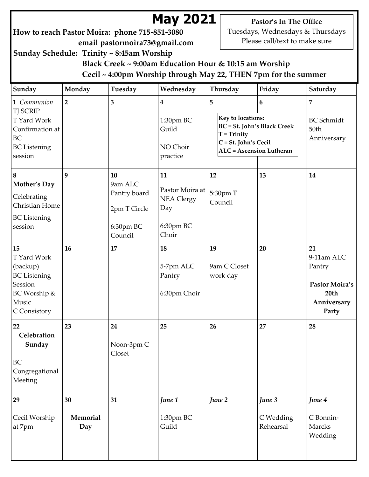# **May 2021**

**How to reach Pastor Moira: phone 715-851-3080 email pastormoira73@gmail.com**

**Pastor's In The Office** Tuesdays, Wednesdays & Thursdays Please call/text to make sure

**Sunday Schedule: Trinity ~ 8:45am Worship**

 **Black Creek ~ 9:00am Education Hour & 10:15 am Worship Cecil ~ 4:00pm Worship through May 22, THEN 7pm for the summer**

| Sunday                                                                                                   | Monday                | Tuesday                                                               | Wednesday                                                               | Thursday                                                                                                                                 | Friday                           | Saturday                                                                     |
|----------------------------------------------------------------------------------------------------------|-----------------------|-----------------------------------------------------------------------|-------------------------------------------------------------------------|------------------------------------------------------------------------------------------------------------------------------------------|----------------------------------|------------------------------------------------------------------------------|
| 1 Communion<br><b>TJ SCRIP</b><br>T Yard Work<br>Confirmation at<br>BC<br><b>BC</b> Listening<br>session | $\overline{2}$        | $\overline{\mathbf{3}}$                                               | 4<br>1:30pm BC<br>Guild<br>NO Choir<br>practice                         | 5<br>Key to locations:<br><b>BC</b> = St. John's Black Creek<br>$T = Trinity$<br>C = St. John's Cecil<br><b>ALC</b> = Ascension Lutheran | 6                                | 7<br><b>BC</b> Schmidt<br>50th<br>Anniversary                                |
| $\boldsymbol{8}$<br>Mother's Day<br>Celebrating<br>Christian Home<br><b>BC</b> Listening<br>session      | 9                     | 10<br>9am ALC<br>Pantry board<br>2pm T Circle<br>6:30pm BC<br>Council | 11<br>Pastor Moira at<br><b>NEA Clergy</b><br>Day<br>6:30pm BC<br>Choir | 12<br>5:30pm T<br>Council                                                                                                                | 13                               | 14                                                                           |
| 15<br>T Yard Work<br>(backup)<br><b>BC</b> Listening<br>Session<br>BC Worship &<br>Music<br>C Consistory | 16                    | 17                                                                    | 18<br>5-7pm ALC<br>Pantry<br>6:30pm Choir                               | 19<br>9am C Closet<br>work day                                                                                                           | 20                               | 21<br>9-11am ALC<br>Pantry<br>Pastor Moira's<br>20th<br>Anniversary<br>Party |
| 22<br>Celebration<br>Sunday<br><b>BC</b><br>Congregational<br>Meeting                                    | 23                    | 24<br>Noon-3pm C<br>Closet                                            | 25                                                                      | 26                                                                                                                                       | 27                               | 28                                                                           |
| 29<br>Cecil Worship<br>at 7pm                                                                            | 30<br>Memorial<br>Day | 31                                                                    | June 1<br>1:30pm BC<br>Guild                                            | June 2                                                                                                                                   | June 3<br>C Wedding<br>Rehearsal | June 4<br>C Bonnin-<br>Marcks<br>Wedding                                     |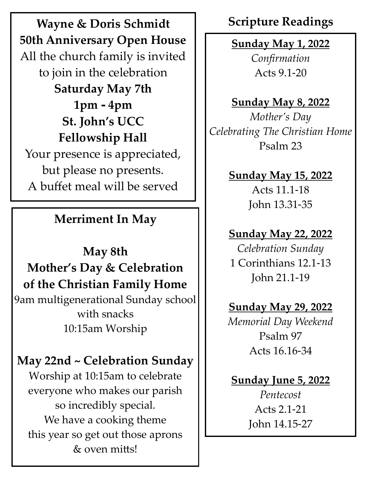**Wayne & Doris Schmidt** | Scripture Readings **50th Anniversary Open House** All the church family is invited to join in the celebration **Saturday May 7th 1pm - 4pm St. John's UCC Fellowship Hall** Your presence is appreciated, but please no presents. A buffet meal will be served

## **Merriment In May**

# **May 8th Mother's Day & Celebration of the Christian Family Home**

9am multigenerational Sunday school with snacks 10:15am Worship

# **May 22nd ~ Celebration Sunday**

Worship at 10:15am to celebrate everyone who makes our parish so incredibly special. We have a cooking theme this year so get out those aprons & oven mitts!

# **Sunday May 1, 2022**

*Confirmation* Acts 9.1-20

## **Sunday May 8, 2022**

*Mother's Day Celebrating The Christian Home* Psalm 23

## **Sunday May 15, 2022**

Acts 11.1-18 John 13.31-35

## **Sunday May 22, 2022**

*Celebration Sunday* 1 Corinthians 12.1-13 John 21.1-19

## **Sunday May 29, 2022**

*Memorial Day Weekend* Psalm 97 Acts 16.16-34

## **Sunday June 5, 2022**

*Pentecost* Acts 2.1-21 John 14.15-27